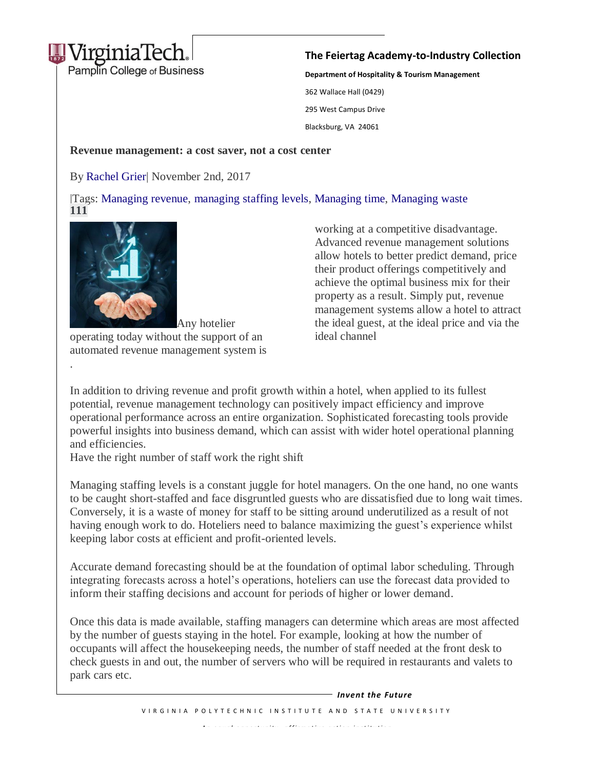

## **The Feiertag Academy-to-Industry Collection**

**Department of Hospitality & Tourism Management** 362 Wallace Hall (0429) 295 West Campus Drive Blacksburg, VA 24061

Revenue management: a cost saver, not a cost center

By [Rachel](https://ehotelier.com/author/rachel-grier/) Grier| November 2nd, 2017

Tags: [Managing revenue,](https://ehotelier.com/tag/managing-revenue/) managing [staffing levels,](https://ehotelier.com/tag/managing-staffing-levels/) [Managing time,](https://ehotelier.com/tag/managing-time/) [Managing waste](https://ehotelier.com/tag/managing-waste/) **111**



.

Any hotelier operating today without the support of an automated revenue management system is working at a competitive disadvantage. email: pide vertical) allow hotels to better predict demand, price Advanced revenue management solutions their product offerings competitively and achieve the optimal business mix for their property as a result. Simply put, revenue management systems allow a hotel to attract the ideal guest, at the ideal price and via the ideal channel

In addition to driving revenue and profit growth within a hotel, when applied to its fullest potential, revenue management technology can positively impact efficiency and improve operational performance across an entire organization. Sophisticated forecasting tools provide powerful insights into business demand, which can assist with wider hotel operational planning and efficiencies.

Have the right number of staff work the right shift

Managing staffing levels is a constant juggle for hotel managers. On the one hand, no one wants to be caught short-staffed and face disgruntled guests who are dissatisfied due to long wait times. Conversely, it is a waste of money for staff to be sitting around underutilized as a result of not having enough work to do. Hoteliers need to balance maximizing the guest's experience whilst keeping labor costs at efficient and profit-oriented levels.

Accurate demand forecasting should be at the foundation of optimal labor scheduling. Through integrating forecasts across a hotel's operations, hoteliers can use the forecast data provided to inform their staffing decisions and account for periods of higher or lower demand.

Once this data is made available, staffing managers can determine which areas are most affected by the number of guests staying in the hotel. For example, looking at how the number of occupants will affect the housekeeping needs, the number of staff needed at the front desk to check guests in and out, the number of servers who will be required in restaurants and valets to park cars etc.

> V IR G I N I A POLYTE CHNIC IN STITUTE AND STATE UNIVERSITY *A n e q u a l o p p o r t u n i t y , a f f i r m a t i v e a c t i o n i n s t i t u t i o n Invent the Future*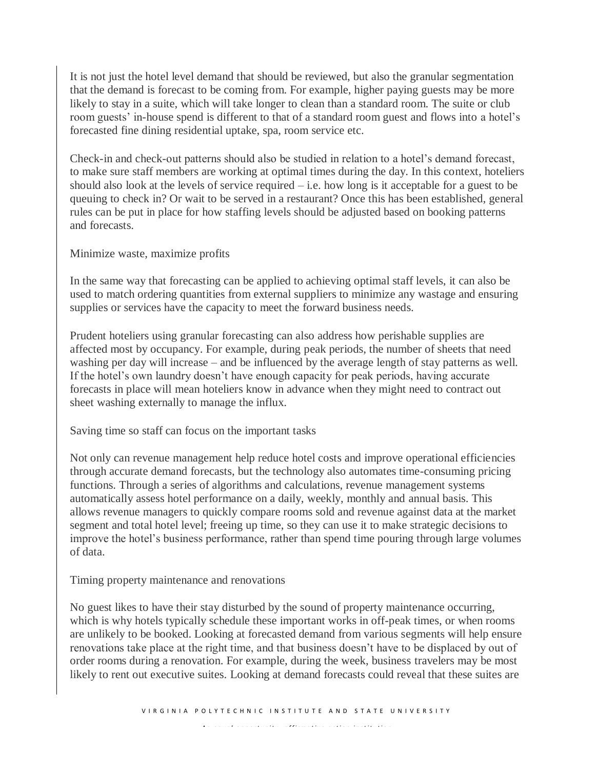It is not just the hotel level demand that should be reviewed, but also the granular segmentation that the demand is forecast to be coming from. For example, higher paying guests may be more likely to stay in a suite, which will take longer to clean than a standard room. The suite or club room guests' in-house spend is different to that of a standard room guest and flows into a hotel's forecasted fine dining residential uptake, spa, room service etc.

Check-in and check-out patterns should also be studied in relation to a hotel's demand forecast, to make sure staff members are working at optimal times during the day. In this context, hoteliers should also look at the levels of service required – i.e. how long is it acceptable for a guest to be queuing to check in? Or wait to be served in a restaurant? Once this has been established, general rules can be put in place for how staffing levels should be adjusted based on booking patterns and forecasts.

Minimize waste, maximize profits

In the same way that forecasting can be applied to achieving optimal staff levels, it can also be used to match ordering quantities from external suppliers to minimize any wastage and ensuring supplies or services have the capacity to meet the forward business needs.

Prudent hoteliers using granular forecasting can also address how perishable supplies are affected most by occupancy. For example, during peak periods, the number of sheets that need washing per day will increase – and be influenced by the average length of stay patterns as well. If the hotel's own laundry doesn't have enough capacity for peak periods, having accurate forecasts in place will mean hoteliers know in advance when they might need to contract out sheet washing externally to manage the influx.

Saving time so staff can focus on the important tasks

Not only can revenue management help reduce hotel costs and improve operational efficiencies through accurate demand forecasts, but the technology also automates time-consuming pricing functions. Through a series of algorithms and calculations, revenue management systems automatically assess hotel performance on a daily, weekly, monthly and annual basis. This allows revenue managers to quickly compare rooms sold and revenue against data at the market segment and total hotel level; freeing up time, so they can use it to make strategic decisions to improve the hotel's business performance, rather than spend time pouring through large volumes of data.

Timing property maintenance and renovations

No guest likes to have their stay disturbed by the sound of property maintenance occurring, which is why hotels typically schedule these important works in off-peak times, or when rooms are unlikely to be booked. Looking at forecasted demand from various segments will help ensure renovations take place at the right time, and that business doesn't have to be displaced by out of order rooms during a renovation. For example, during the week, business travelers may be most likely to rent out executive suites. Looking at demand forecasts could reveal that these suites are

*A n e q u a l o p p o r t u n i t y , a f f i r m a t i v e a c t i o n i n s t i t u t i o n*